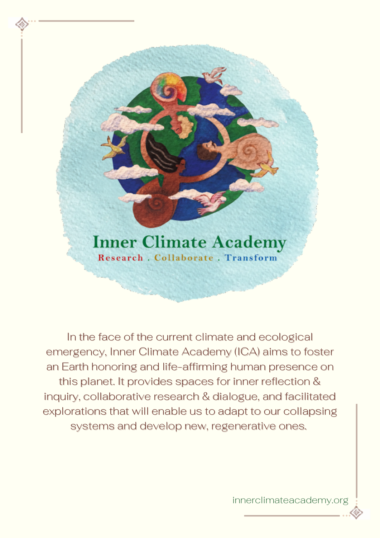## **Inner Climate Academy** Research Collaborate Transform

In the face of the current climate and ecological emergency, Inner Climate Academy (ICA) aims to foster an Earth honoring and life-affirming human presence on this planet. It provides spaces for inner reflection & inquiry, collaborative research & dialogue, and facilitated explorations that will enable us to adapt to our collapsing systems and develop new, regenerative ones.

innerclimateacademy.org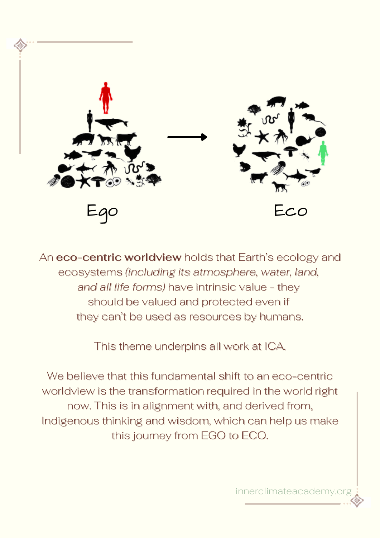

An **eco-centric worldview** holds that Earth's ecology and ecosystems *(including its atmosphere, water, land, and all life forms)* have intrinsic value - they should be valued and protected even if they can't be used as resources by humans.

This theme underpins all work at ICA.

We believe that this fundamental shift to an eco-centric worldview is the transformation required in the world right now. This is in alignment with, and derived from, Indigenous thinking and wisdom, which can help us make this journey from EGO to ECO.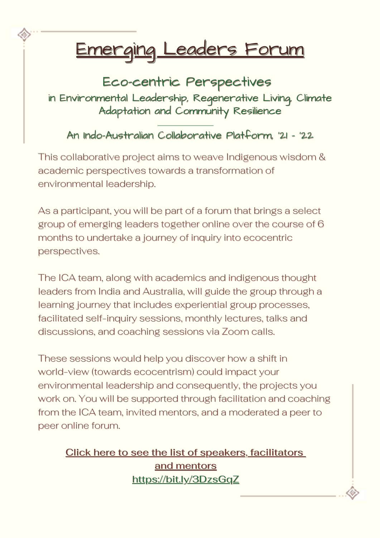# Emerging Leaders Forum

Eco-centric Perspectives in Environmental Leadership, Regenerative Living, Climate Adaptation and Community Resilience

An Indo-Australian Collaborative Platform, '21 - '22

This collaborative project aims to weave Indigenous wisdom & academic perspectives towards a transformation of environmental leadership.

As a participant, you will be part of a forum that brings a select group of emerging leaders together online over the course of 6 months to undertake a journey of inquiry into ecocentric perspectives.

The ICA team, along with academics and indigenous thought leaders from India and Australia, will guide the group through a learning journey that includes experiential group processes, facilitated self-inquiry sessions, monthly lectures, talks and discussions, and coaching sessions via Zoom calls.

These sessions would help you discover how a shift in world-view (towards ecocentrism) could impact your environmental leadership and consequently, the projects you work on. You will be supported through facilitation and coaching from the ICA team, invited mentors, and a moderated a peer to peer online forum.

Click here to see the list of speakers, [facilitators](https://innerclimateacademy.org/elf/#thought-leaders) and [mentors](https://innerclimateacademy.org/elf/#thought-leaders) <https://bit.ly/3DzsGqZ>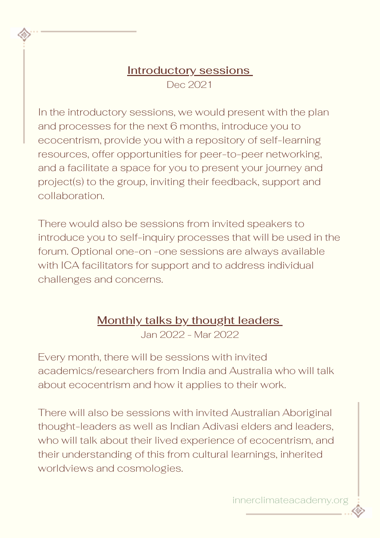## Introductory sessions Dec 2021

In the introductory sessions, we would present with the plan and processes for the next 6 months, introduce you to ecocentrism, provide you with a repository of self-learning resources, offer opportunities for peer-to-peer networking, and a facilitate a space for you to present your journey and project(s) to the group, inviting their feedback, support and collaboration.

There would also be sessions from invited speakers to introduce you to self-inquiry processes that will be used in the forum. Optional one-on -one sessions are always available with ICA facilitators for support and to address individual challenges and concerns.

## Monthly talks by thought leaders

Jan 2022 - Mar 2022

Every month, there will be sessions with invited academics/researchers from India and Australia who will talk about ecocentrism and how it applies to their work.

There will also be sessions with invited Australian Aboriginal thought-leaders as well as Indian Adivasi elders and leaders, who will talk about their lived experience of ecocentrism, and their understanding of this from cultural learnings, inherited worldviews and cosmologies.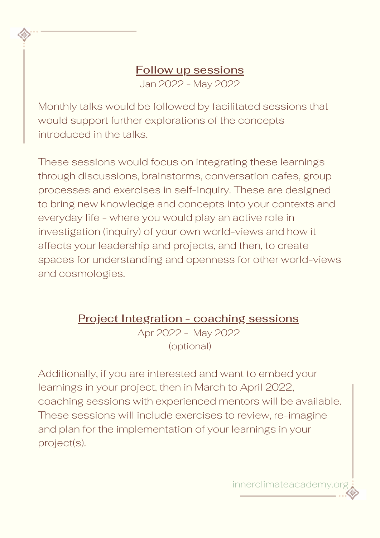## Follow up sessions

Jan 2022 - May 2022

Monthly talks would be followed by facilitated sessions that would support further explorations of the concepts introduced in the talks.

These sessions would focus on integrating these learnings through discussions, brainstorms, conversation cafes, group processes and exercises in self-inquiry. These are designed to bring new knowledge and concepts into your contexts and everyday life - where you would play an active role in investigation (inquiry) of your own world-views and how it affects your leadership and projects, and then, to create spaces for understanding and openness for other world-views and cosmologies.

Project Integration - coaching sessions

Apr 2022 - May 2022 (optional)

Additionally, if you are interested and want to embed your learnings in your project, then in March to April 2022, coaching sessions with experienced mentors will be available. These sessions will include exercises to review, re-imagine and plan for the implementation of your learnings in your project(s).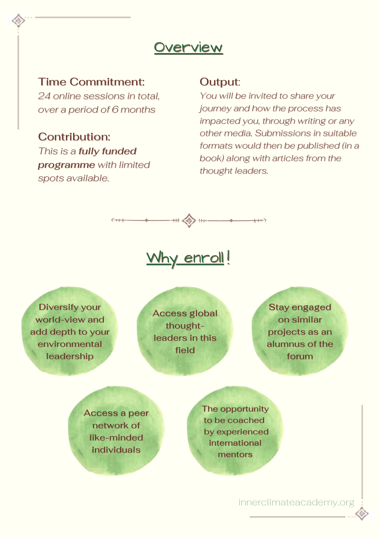## **Overview**

### Time Commitment:

*24 online sessions in total, over a period of 6 months*

## Contribution:

*This is a fully funded programme with limited spots available.*

#### Output:

*You will be invited to share your journey and how the process has impacted you, through writing or any other media. Submissions in suitable formats would then be published (in a book) along with articles from the thought leaders.*



#### Why enroll! !

Diversify your world-view and add depth to your environmental leadership

Access global thoughtleaders in this field

Stay engaged on similar projects as an alumnus of the forum

Access a peer network of like-minded individuals

The opportunity to be coached by experienced international mentors

innerclimateacademy.org